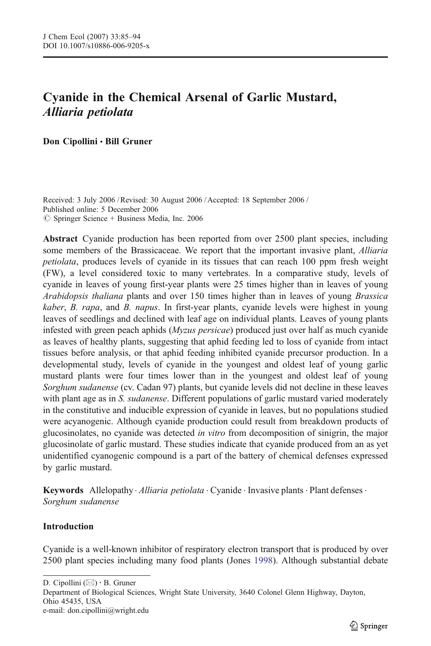# Cyanide in the Chemical Arsenal of Garlic Mustard, Alliaria petiolata

Don Cipollini • Bill Gruner

Received: 3 July 2006 /Revised: 30 August 2006 / Accepted: 18 September 2006 / Published online: 5 December 2006  $\circ$  Springer Science + Business Media, Inc. 2006

Abstract Cyanide production has been reported from over 2500 plant species, including some members of the Brassicaceae. We report that the important invasive plant, Alliaria petiolata, produces levels of cyanide in its tissues that can reach 100 ppm fresh weight (FW), a level considered toxic to many vertebrates. In a comparative study, levels of cyanide in leaves of young first-year plants were 25 times higher than in leaves of young Arabidopsis thaliana plants and over 150 times higher than in leaves of young Brassica kaber, B. rapa, and B. napus. In first-year plants, cyanide levels were highest in young leaves of seedlings and declined with leaf age on individual plants. Leaves of young plants infested with green peach aphids (Myzus persicae) produced just over half as much cyanide as leaves of healthy plants, suggesting that aphid feeding led to loss of cyanide from intact tissues before analysis, or that aphid feeding inhibited cyanide precursor production. In a developmental study, levels of cyanide in the youngest and oldest leaf of young garlic mustard plants were four times lower than in the youngest and oldest leaf of young Sorghum sudanense (cv. Cadan 97) plants, but cyanide levels did not decline in these leaves with plant age as in S. sudanense. Different populations of garlic mustard varied moderately in the constitutive and inducible expression of cyanide in leaves, but no populations studied were acyanogenic. Although cyanide production could result from breakdown products of glucosinolates, no cyanide was detected in vitro from decomposition of sinigrin, the major glucosinolate of garlic mustard. These studies indicate that cyanide produced from an as yet unidentified cyanogenic compound is a part of the battery of chemical defenses expressed by garlic mustard.

**Keywords** Allelopathy *Alliaria petiolata*  $\cdot$  Cyanide  $\cdot$  Invasive plants  $\cdot$  Plant defenses  $\cdot$ Sorghum sudanense

## Introduction

Cyanide is a well-known inhibitor of respiratory electron transport that is produced by over 2500 plant species including many food plants (Jones [1998](#page-8-0)). Although substantial debate

D. Cipollini  $(\boxtimes) \cdot$  B. Gruner

Department of Biological Sciences, Wright State University, 3640 Colonel Glenn Highway, Dayton, Ohio 45435, USA e-mail: don.cipollini@wright.edu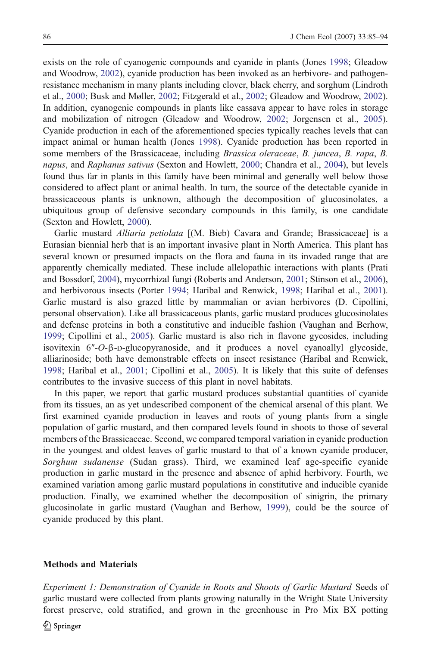exists on the role of cyanogenic compounds and cyanide in plants (Jones [1998](#page-8-0); Gleadow and Woodrow, [2002\)](#page-8-0), cyanide production has been invoked as an herbivore- and pathogenresistance mechanism in many plants including clover, black cherry, and sorghum (Lindroth et al., [2000](#page-9-0); Busk and Møller, [2002;](#page-8-0) Fitzgerald et al., [2002](#page-8-0); Gleadow and Woodrow, [2002](#page-8-0)). In addition, cyanogenic compounds in plants like cassava appear to have roles in storage and mobilization of nitrogen (Gleadow and Woodrow, [2002](#page-8-0); Jorgensen et al., [2005](#page-9-0)). Cyanide production in each of the aforementioned species typically reaches levels that can impact animal or human health (Jones [1998\)](#page-8-0). Cyanide production has been reported in some members of the Brassicaceae, including *Brassica oleraceae, B. juncea, B. rapa, B.* napus, and Raphanus sativus (Sexton and Howlett, [2000](#page-9-0); Chandra et al., [2004\)](#page-8-0), but levels found thus far in plants in this family have been minimal and generally well below those considered to affect plant or animal health. In turn, the source of the detectable cyanide in brassicaceous plants is unknown, although the decomposition of glucosinolates, a ubiquitous group of defensive secondary compounds in this family, is one candidate (Sexton and Howlett, [2000\)](#page-9-0).

Garlic mustard *Alliaria petiolata* [(M. Bieb) Cavara and Grande; Brassicaceae] is a Eurasian biennial herb that is an important invasive plant in North America. This plant has several known or presumed impacts on the flora and fauna in its invaded range that are apparently chemically mediated. These include allelopathic interactions with plants (Prati and Bossdorf, [2004\)](#page-9-0), mycorrhizal fungi (Roberts and Anderson, [2001;](#page-9-0) Stinson et al., [2006](#page-9-0)), and herbivorous insects (Porter [1994;](#page-9-0) Haribal and Renwick, [1998;](#page-8-0) Haribal et al., [2001](#page-8-0)). Garlic mustard is also grazed little by mammalian or avian herbivores (D. Cipollini, personal observation). Like all brassicaceous plants, garlic mustard produces glucosinolates and defense proteins in both a constitutive and inducible fashion (Vaughan and Berhow, [1999](#page-9-0); Cipollini et al., [2005](#page-8-0)). Garlic mustard is also rich in flavone gycosides, including isovitexin 6″-O-β-D-glucopyranoside, and it produces a novel cyanoallyl glycoside, alliarinoside; both have demonstrable effects on insect resistance (Haribal and Renwick, [1998](#page-8-0); Haribal et al., [2001](#page-8-0); Cipollini et al., [2005\)](#page-8-0). It is likely that this suite of defenses contributes to the invasive success of this plant in novel habitats.

In this paper, we report that garlic mustard produces substantial quantities of cyanide from its tissues, an as yet undescribed component of the chemical arsenal of this plant. We first examined cyanide production in leaves and roots of young plants from a single population of garlic mustard, and then compared levels found in shoots to those of several members of the Brassicaceae. Second, we compared temporal variation in cyanide production in the youngest and oldest leaves of garlic mustard to that of a known cyanide producer, Sorghum sudanense (Sudan grass). Third, we examined leaf age-specific cyanide production in garlic mustard in the presence and absence of aphid herbivory. Fourth, we examined variation among garlic mustard populations in constitutive and inducible cyanide production. Finally, we examined whether the decomposition of sinigrin, the primary glucosinolate in garlic mustard (Vaughan and Berhow, [1999\)](#page-9-0), could be the source of cyanide produced by this plant.

#### Methods and Materials

Experiment 1: Demonstration of Cyanide in Roots and Shoots of Garlic Mustard Seeds of garlic mustard were collected from plants growing naturally in the Wright State University forest preserve, cold stratified, and grown in the greenhouse in Pro Mix BX potting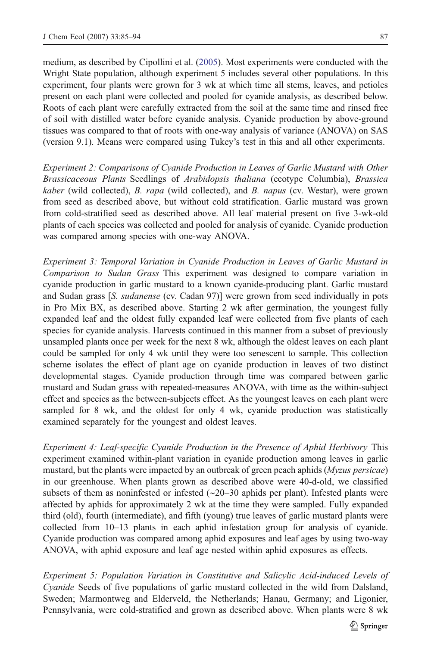medium, as described by Cipollini et al. [\(2005](#page-8-0)). Most experiments were conducted with the Wright State population, although experiment 5 includes several other populations. In this experiment, four plants were grown for 3 wk at which time all stems, leaves, and petioles present on each plant were collected and pooled for cyanide analysis, as described below. Roots of each plant were carefully extracted from the soil at the same time and rinsed free of soil with distilled water before cyanide analysis. Cyanide production by above-ground tissues was compared to that of roots with one-way analysis of variance (ANOVA) on SAS (version 9.1). Means were compared using Tukey's test in this and all other experiments.

Experiment 2: Comparisons of Cyanide Production in Leaves of Garlic Mustard with Other Brassicaceous Plants Seedlings of Arabidopsis thaliana (ecotype Columbia), Brassica kaber (wild collected), B. rapa (wild collected), and B. napus (cv. Westar), were grown from seed as described above, but without cold stratification. Garlic mustard was grown from cold-stratified seed as described above. All leaf material present on five 3-wk-old plants of each species was collected and pooled for analysis of cyanide. Cyanide production was compared among species with one-way ANOVA.

Experiment 3: Temporal Variation in Cyanide Production in Leaves of Garlic Mustard in Comparison to Sudan Grass This experiment was designed to compare variation in cyanide production in garlic mustard to a known cyanide-producing plant. Garlic mustard and Sudan grass [S. *sudanense* (cv. Cadan 97)] were grown from seed individually in pots in Pro Mix BX, as described above. Starting 2 wk after germination, the youngest fully expanded leaf and the oldest fully expanded leaf were collected from five plants of each species for cyanide analysis. Harvests continued in this manner from a subset of previously unsampled plants once per week for the next 8 wk, although the oldest leaves on each plant could be sampled for only 4 wk until they were too senescent to sample. This collection scheme isolates the effect of plant age on cyanide production in leaves of two distinct developmental stages. Cyanide production through time was compared between garlic mustard and Sudan grass with repeated-measures ANOVA, with time as the within-subject effect and species as the between-subjects effect. As the youngest leaves on each plant were sampled for 8 wk, and the oldest for only 4 wk, cyanide production was statistically examined separately for the youngest and oldest leaves.

Experiment 4: Leaf-specific Cyanide Production in the Presence of Aphid Herbivory This experiment examined within-plant variation in cyanide production among leaves in garlic mustard, but the plants were impacted by an outbreak of green peach aphids (Myzus persicae) in our greenhouse. When plants grown as described above were 40-d-old, we classified subsets of them as noninfested or infested (∼20–30 aphids per plant). Infested plants were affected by aphids for approximately 2 wk at the time they were sampled. Fully expanded third (old), fourth (intermediate), and fifth (young) true leaves of garlic mustard plants were collected from 10–13 plants in each aphid infestation group for analysis of cyanide. Cyanide production was compared among aphid exposures and leaf ages by using two-way ANOVA, with aphid exposure and leaf age nested within aphid exposures as effects.

Experiment 5: Population Variation in Constitutive and Salicylic Acid-induced Levels of Cyanide Seeds of five populations of garlic mustard collected in the wild from Dalsland, Sweden; Marmontweg and Elderveld, the Netherlands; Hanau, Germany; and Ligonier, Pennsylvania, were cold-stratified and grown as described above. When plants were 8 wk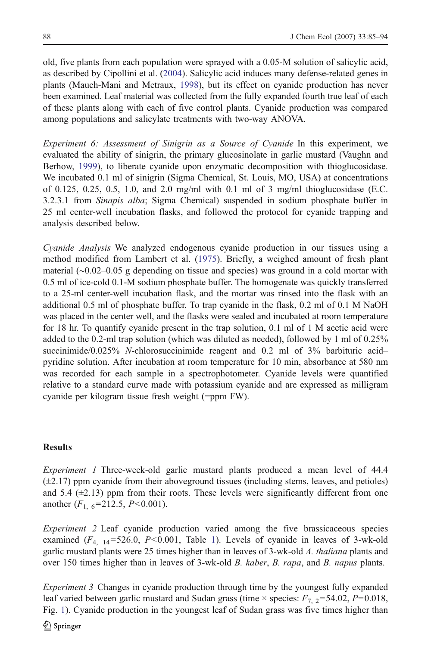old, five plants from each population were sprayed with a 0.05-M solution of salicylic acid, as described by Cipollini et al. ([2004](#page-8-0)). Salicylic acid induces many defense-related genes in plants (Mauch-Mani and Metraux, [1998](#page-9-0)), but its effect on cyanide production has never been examined. Leaf material was collected from the fully expanded fourth true leaf of each of these plants along with each of five control plants. Cyanide production was compared among populations and salicylate treatments with two-way ANOVA.

Experiment 6: Assessment of Sinigrin as a Source of Cyanide In this experiment, we evaluated the ability of sinigrin, the primary glucosinolate in garlic mustard (Vaughn and Berhow, [1999\)](#page-9-0), to liberate cyanide upon enzymatic decomposition with thioglucosidase. We incubated 0.1 ml of sinigrin (Sigma Chemical, St. Louis, MO, USA) at concentrations of 0.125, 0.25, 0.5, 1.0, and 2.0 mg/ml with 0.1 ml of 3 mg/ml thioglucosidase (E.C. 3.2.3.1 from Sinapis alba; Sigma Chemical) suspended in sodium phosphate buffer in 25 ml center-well incubation flasks, and followed the protocol for cyanide trapping and analysis described below.

Cyanide Analysis We analyzed endogenous cyanide production in our tissues using a method modified from Lambert et al. [\(1975](#page-9-0)). Briefly, a weighed amount of fresh plant material (∼0.02–0.05 g depending on tissue and species) was ground in a cold mortar with 0.5 ml of ice-cold 0.1-M sodium phosphate buffer. The homogenate was quickly transferred to a 25-ml center-well incubation flask, and the mortar was rinsed into the flask with an additional 0.5 ml of phosphate buffer. To trap cyanide in the flask, 0.2 ml of 0.1 M NaOH was placed in the center well, and the flasks were sealed and incubated at room temperature for 18 hr. To quantify cyanide present in the trap solution, 0.1 ml of 1 M acetic acid were added to the 0.2-ml trap solution (which was diluted as needed), followed by 1 ml of 0.25% succinimide/0.025% N-chlorosuccinimide reagent and 0.2 ml of 3% barbituric acidpyridine solution. After incubation at room temperature for 10 min, absorbance at 580 nm was recorded for each sample in a spectrophotometer. Cyanide levels were quantified relative to a standard curve made with potassium cyanide and are expressed as milligram cyanide per kilogram tissue fresh weight (=ppm FW).

## **Results**

Experiment 1 Three-week-old garlic mustard plants produced a mean level of 44.4 (±2.17) ppm cyanide from their aboveground tissues (including stems, leaves, and petioles) and 5.4  $(\pm 2.13)$  ppm from their roots. These levels were significantly different from one another  $(F_{1, 6} = 212.5, P \le 0.001)$ .

Experiment 2 Leaf cyanide production varied among the five brassicaceous species examined  $(F_{4,14}=526.0, P<0.001,$  $(F_{4,14}=526.0, P<0.001,$  $(F_{4,14}=526.0, P<0.001,$  Table 1). Levels of cyanide in leaves of 3-wk-old garlic mustard plants were 25 times higher than in leaves of 3-wk-old A. *thaliana* plants and over 150 times higher than in leaves of 3-wk-old *B. kaber*, *B. rapa*, and *B. napus* plants.

Experiment 3 Changes in cyanide production through time by the youngest fully expanded leaf varied between garlic mustard and Sudan grass (time  $\times$  species:  $F_{7,2}$ =54.02, P=0.018, Fig. [1\)](#page-4-0). Cyanide production in the youngest leaf of Sudan grass was five times higher than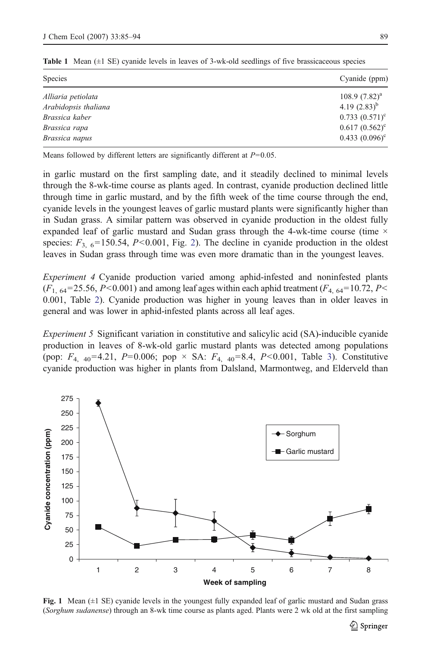| Cyanide (ppm)           |
|-------------------------|
| 108.9 $(7.82)^a$        |
| 4.19 $(2.83)^{b}$       |
| $0.733(0.571)^c$        |
| $0.617 (0.562)^{\circ}$ |
| $0.433(0.096)^{\circ}$  |
|                         |

<span id="page-4-0"></span>**Table 1** Mean  $(\pm 1 \text{ SE})$  cyanide levels in leaves of 3-wk-old seedlings of five brassicaceous species

Means followed by different letters are significantly different at  $P=0.05$ .

in garlic mustard on the first sampling date, and it steadily declined to minimal levels through the 8-wk-time course as plants aged. In contrast, cyanide production declined little through time in garlic mustard, and by the fifth week of the time course through the end, cyanide levels in the youngest leaves of garlic mustard plants were significantly higher than in Sudan grass. A similar pattern was observed in cyanide production in the oldest fully expanded leaf of garlic mustard and Sudan grass through the 4-wk-time course (time  $\times$ species:  $F_{3,6}$ =150.54, P<0.001, Fig. [2\)](#page-5-0). The decline in cyanide production in the oldest leaves in Sudan grass through time was even more dramatic than in the youngest leaves.

Experiment 4 Cyanide production varied among aphid-infested and noninfested plants  $(F<sub>1, 64</sub>=25.56, P<0.001)$  and among leaf ages within each aphid treatment  $(F<sub>4, 64</sub>=10.72, P<$ 0.001, Table [2\)](#page-5-0). Cyanide production was higher in young leaves than in older leaves in general and was lower in aphid-infested plants across all leaf ages.

Experiment 5 Significant variation in constitutive and salicylic acid (SA)-inducible cyanide production in leaves of 8-wk-old garlic mustard plants was detected among populations (pop:  $F_{4, 40} = 4.21$ ,  $P = 0.006$ ; pop × SA:  $F_{4, 40} = 8.4$ ,  $P < 0.001$ , Table [3\)](#page-6-0). Constitutive cyanide production was higher in plants from Dalsland, Marmontweg, and Elderveld than



Fig. 1 Mean (±1 SE) cyanide levels in the youngest fully expanded leaf of garlic mustard and Sudan grass (Sorghum sudanense) through an 8-wk time course as plants aged. Plants were 2 wk old at the first sampling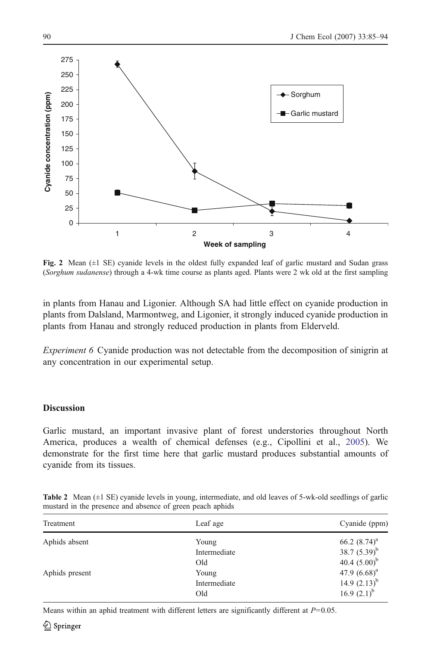<span id="page-5-0"></span>

Fig. 2 Mean  $(\pm 1 \text{ SE})$  cyanide levels in the oldest fully expanded leaf of garlic mustard and Sudan grass (Sorghum sudanense) through a 4-wk time course as plants aged. Plants were 2 wk old at the first sampling

in plants from Hanau and Ligonier. Although SA had little effect on cyanide production in plants from Dalsland, Marmontweg, and Ligonier, it strongly induced cyanide production in plants from Hanau and strongly reduced production in plants from Elderveld.

Experiment 6 Cyanide production was not detectable from the decomposition of sinigrin at any concentration in our experimental setup.

# **Discussion**

Garlic mustard, an important invasive plant of forest understories throughout North America, produces a wealth of chemical defenses (e.g., Cipollini et al., [2005\)](#page-8-0). We demonstrate for the first time here that garlic mustard produces substantial amounts of cyanide from its tissues.

| Treatment      | Leaf age     | Cyanide (ppm)     |
|----------------|--------------|-------------------|
| Aphids absent  | Young        | 66.2 $(8.74)^a$   |
|                | Intermediate | 38.7 $(5.39)^{b}$ |
|                | Old          | 40.4 $(5.00)^b$   |
| Aphids present | Young        | 47.9 $(6.68)^a$   |
|                | Intermediate | 14.9 $(2.13)^{b}$ |
|                | Old          | 16.9 $(2.1)^{b}$  |

Table 2 Mean (±1 SE) cyanide levels in young, intermediate, and old leaves of 5-wk-old seedlings of garlic mustard in the presence and absence of green peach aphids

Means within an aphid treatment with different letters are significantly different at  $P=0.05$ .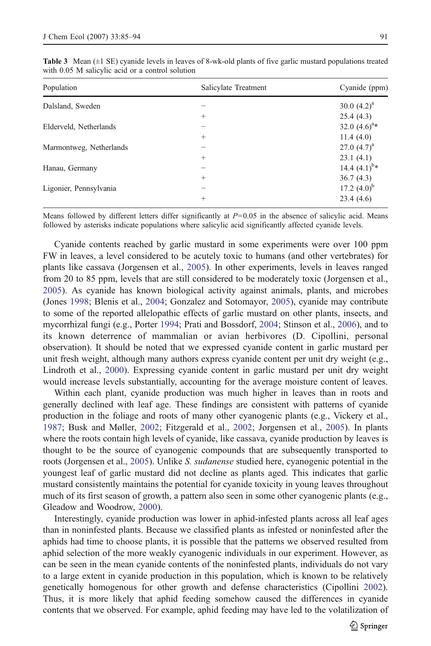| Population              | Salicylate Treatment | Cyanide (ppm)     |
|-------------------------|----------------------|-------------------|
| Dalsland, Sweden        |                      | 30.0 $(4.2)^a$    |
|                         | $^{+}$               | 25.4(4.3)         |
| Elderveld, Netherlands  |                      | 32.0 $(4.6)^{a*}$ |
|                         | $^{+}$               | 11.4(4.0)         |
| Marmontweg, Netherlands |                      | 27.0 $(4.7)^a$    |
|                         | $^{+}$               | 23.1(4.1)         |
| Hanau, Germany          |                      | 14.4 $(4.1)^{b*}$ |
|                         | $^{+}$               | 36.7(4.3)         |
| Ligonier, Pennsylvania  |                      | 17.2 $(4.0)^{b}$  |
|                         | $^{+}$               | 23.4(4.6)         |

<span id="page-6-0"></span>Table 3 Mean (±1 SE) cyanide levels in leaves of 8-wk-old plants of five garlic mustard populations treated with 0.05 M salicylic acid or a control solution

Means followed by different letters differ significantly at  $P=0.05$  in the absence of salicylic acid. Means followed by asterisks indicate populations where salicylic acid significantly affected cyanide levels.

Cyanide contents reached by garlic mustard in some experiments were over 100 ppm FW in leaves, a level considered to be acutely toxic to humans (and other vertebrates) for plants like cassava (Jorgensen et al., [2005](#page-9-0)). In other experiments, levels in leaves ranged from 20 to 85 ppm, levels that are still considered to be moderately toxic (Jorgensen et al., [2005](#page-9-0)). As cyanide has known biological activity against animals, plants, and microbes (Jones [1998](#page-8-0); Blenis et al., [2004;](#page-8-0) Gonzalez and Sotomayor, [2005](#page-8-0)), cyanide may contribute to some of the reported allelopathic effects of garlic mustard on other plants, insects, and mycorrhizal fungi (e.g., Porter [1994](#page-9-0); Prati and Bossdorf, [2004;](#page-9-0) Stinson et al., [2006](#page-9-0)), and to its known deterrence of mammalian or avian herbivores (D. Cipollini, personal observation). It should be noted that we expressed cyanide content in garlic mustard per unit fresh weight, although many authors express cyanide content per unit dry weight (e.g., Lindroth et al., [2000](#page-9-0)). Expressing cyanide content in garlic mustard per unit dry weight would increase levels substantially, accounting for the average moisture content of leaves.

Within each plant, cyanide production was much higher in leaves than in roots and generally declined with leaf age. These findings are consistent with patterns of cyanide production in the foliage and roots of many other cyanogenic plants (e.g., Vickery et al., [1987](#page-9-0); Busk and Møller, [2002;](#page-8-0) Fitzgerald et al., [2002;](#page-8-0) Jorgensen et al., [2005](#page-9-0)). In plants where the roots contain high levels of cyanide, like cassava, cyanide production by leaves is thought to be the source of cyanogenic compounds that are subsequently transported to roots (Jorgensen et al., [2005](#page-9-0)). Unlike S. sudanense studied here, cyanogenic potential in the youngest leaf of garlic mustard did not decline as plants aged. This indicates that garlic mustard consistently maintains the potential for cyanide toxicity in young leaves throughout much of its first season of growth, a pattern also seen in some other cyanogenic plants (e.g., Gleadow and Woodrow, [2000\)](#page-8-0).

Interestingly, cyanide production was lower in aphid-infested plants across all leaf ages than in noninfested plants. Because we classified plants as infested or noninfested after the aphids had time to choose plants, it is possible that the patterns we observed resulted from aphid selection of the more weakly cyanogenic individuals in our experiment. However, as can be seen in the mean cyanide contents of the noninfested plants, individuals do not vary to a large extent in cyanide production in this population, which is known to be relatively genetically homogenous for other growth and defense characteristics (Cipollini [2002](#page-8-0)). Thus, it is more likely that aphid feeding somehow caused the differences in cyanide contents that we observed. For example, aphid feeding may have led to the volatilization of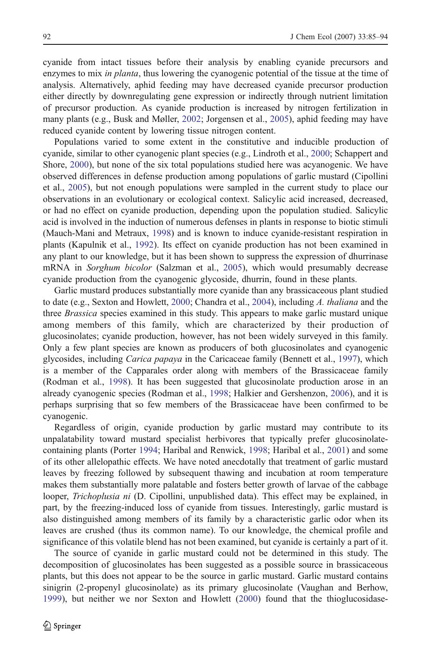cyanide from intact tissues before their analysis by enabling cyanide precursors and enzymes to mix in planta, thus lowering the cyanogenic potential of the tissue at the time of analysis. Alternatively, aphid feeding may have decreased cyanide precursor production either directly by downregulating gene expression or indirectly through nutrient limitation of precursor production. As cyanide production is increased by nitrogen fertilization in many plants (e.g., Busk and Møller, [2002](#page-8-0); Jorgensen et al., [2005\)](#page-9-0), aphid feeding may have reduced cyanide content by lowering tissue nitrogen content.

Populations varied to some extent in the constitutive and inducible production of cyanide, similar to other cyanogenic plant species (e.g., Lindroth et al., [2000;](#page-9-0) Schappert and Shore, [2000](#page-9-0)), but none of the six total populations studied here was acyanogenic. We have observed differences in defense production among populations of garlic mustard (Cipollini et al., [2005](#page-8-0)), but not enough populations were sampled in the current study to place our observations in an evolutionary or ecological context. Salicylic acid increased, decreased, or had no effect on cyanide production, depending upon the population studied. Salicylic acid is involved in the induction of numerous defenses in plants in response to biotic stimuli (Mauch-Mani and Metraux, [1998](#page-9-0)) and is known to induce cyanide-resistant respiration in plants (Kapulnik et al., [1992](#page-9-0)). Its effect on cyanide production has not been examined in any plant to our knowledge, but it has been shown to suppress the expression of dhurrinase mRNA in Sorghum bicolor (Salzman et al., [2005\)](#page-9-0), which would presumably decrease cyanide production from the cyanogenic glycoside, dhurrin, found in these plants.

Garlic mustard produces substantially more cyanide than any brassicaceous plant studied to date (e.g., Sexton and Howlett, [2000;](#page-9-0) Chandra et al., [2004\)](#page-8-0), including A. thaliana and the three *Brassica* species examined in this study. This appears to make garlic mustard unique among members of this family, which are characterized by their production of glucosinolates; cyanide production, however, has not been widely surveyed in this family. Only a few plant species are known as producers of both glucosinolates and cyanogenic glycosides, including Carica papaya in the Caricaceae family (Bennett et al., [1997\)](#page-8-0), which is a member of the Capparales order along with members of the Brassicaceae family (Rodman et al., [1998\)](#page-9-0). It has been suggested that glucosinolate production arose in an already cyanogenic species (Rodman et al., [1998;](#page-9-0) Halkier and Gershenzon, [2006](#page-8-0)), and it is perhaps surprising that so few members of the Brassicaceae have been confirmed to be cyanogenic.

Regardless of origin, cyanide production by garlic mustard may contribute to its unpalatability toward mustard specialist herbivores that typically prefer glucosinolatecontaining plants (Porter [1994](#page-9-0); Haribal and Renwick, [1998](#page-8-0); Haribal et al., [2001\)](#page-8-0) and some of its other allelopathic effects. We have noted anecdotally that treatment of garlic mustard leaves by freezing followed by subsequent thawing and incubation at room temperature makes them substantially more palatable and fosters better growth of larvae of the cabbage looper, *Trichoplusia ni* (D. Cipollini, unpublished data). This effect may be explained, in part, by the freezing-induced loss of cyanide from tissues. Interestingly, garlic mustard is also distinguished among members of its family by a characteristic garlic odor when its leaves are crushed (thus its common name). To our knowledge, the chemical profile and significance of this volatile blend has not been examined, but cyanide is certainly a part of it.

The source of cyanide in garlic mustard could not be determined in this study. The decomposition of glucosinolates has been suggested as a possible source in brassicaceous plants, but this does not appear to be the source in garlic mustard. Garlic mustard contains sinigrin (2-propenyl glucosinolate) as its primary glucosinolate (Vaughan and Berhow, [1999](#page-9-0)), but neither we nor Sexton and Howlett [\(2000](#page-9-0)) found that the thioglucosidase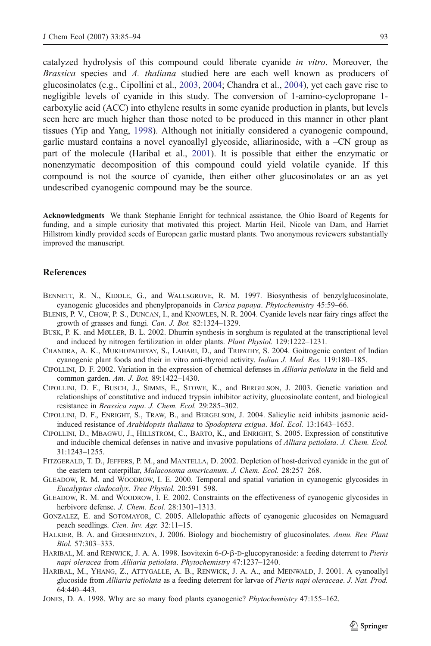<span id="page-8-0"></span>catalyzed hydrolysis of this compound could liberate cyanide in vitro. Moreover, the Brassica species and A. thaliana studied here are each well known as producers of glucosinolates (e.g., Cipollini et al., 2003, 2004; Chandra et al., 2004), yet each gave rise to negligible levels of cyanide in this study. The conversion of 1-amino-cyclopropane 1 carboxylic acid (ACC) into ethylene results in some cyanide production in plants, but levels seen here are much higher than those noted to be produced in this manner in other plant tissues (Yip and Yang, [1998\)](#page-9-0). Although not initially considered a cyanogenic compound, garlic mustard contains a novel cyanoallyl glycoside, alliarinoside, with a –CN group as part of the molecule (Haribal et al., 2001). It is possible that either the enzymatic or nonenzymatic decomposition of this compound could yield volatile cyanide. If this compound is not the source of cyanide, then either other glucosinolates or an as yet undescribed cyanogenic compound may be the source.

Acknowledgments We thank Stephanie Enright for technical assistance, the Ohio Board of Regents for funding, and a simple curiosity that motivated this project. Martin Heil, Nicole van Dam, and Harriet Hillstrom kindly provided seeds of European garlic mustard plants. Two anonymous reviewers substantially improved the manuscript.

### **References**

- BENNETT, R. N., KIDDLE, G., and WALLSGROVE, R. M. 1997. Biosynthesis of benzylglucosinolate, cyanogenic glucosides and phenylpropanoids in Carica papaya. Phytochemistry 45:59–66.
- BLENIS, P. V., CHOW, P. S., DUNCAN, I., and KNOWLES, N. R. 2004. Cyanide levels near fairy rings affect the growth of grasses and fungi. Can. J. Bot. 82:1324–1329.
- BUSK, P. K. and MØLLER, B. L. 2002. Dhurrin synthesis in sorghum is regulated at the transcriptional level and induced by nitrogen fertilization in older plants. Plant Physiol. 129:1222–1231.
- CHANDRA, A. K., MUKHOPADHYAY, S., LAHARI, D., and TRIPATHY, S. 2004. Goitrogenic content of Indian cyanogenic plant foods and their in vitro anti-thyroid activity. Indian J. Med. Res. 119:180–185.
- CIPOLLINI, D. F. 2002. Variation in the expression of chemical defenses in Alliaria petiolata in the field and common garden. Am. J. Bot. 89:1422–1430.
- CIPOLLINI, D. F., BUSCH, J., SIMMS, E., STOWE, K., and BERGELSON, J. 2003. Genetic variation and relationships of constitutive and induced trypsin inhibitor activity, glucosinolate content, and biological resistance in Brassica rapa. J. Chem. Ecol. 29:285–302.
- CIPOLLINI, D. F., ENRIGHT, S., TRAW, B., and BERGELSON, J. 2004. Salicylic acid inhibits jasmonic acidinduced resistance of Arabidopsis thaliana to Spodoptera exigua. Mol. Ecol. 13:1643–1653.
- CIPOLLINI, D., MBAGWU, J., HILLSTROM, C., BARTO, K., and ENRIGHT, S. 2005. Expression of constitutive and inducible chemical defenses in native and invasive populations of Alliara petiolata. J. Chem. Ecol. 31:1243–1255.
- FITZGERALD, T. D., JEFFERS, P. M., and MANTELLA, D. 2002. Depletion of host-derived cyanide in the gut of the eastern tent caterpillar, Malacosoma americanum. J. Chem. Ecol. 28:257–268.
- GLEADOW, R. M. and WOODROW, I. E. 2000. Temporal and spatial variation in cyanogenic glycosides in Eucalyptus cladocalyx. Tree Physiol. 20:591–598.
- GLEADOW, R. M. and WOODROW, I. E. 2002. Constraints on the effectiveness of cyanogenic glycosides in herbivore defense. J. Chem. Ecol. 28:1301-1313.
- GONZALEZ, E. and SOTOMAYOR, C. 2005. Allelopathic affects of cyanogenic glucosides on Nemaguard peach seedlings. Cien. Inv. Agr. 32:11–15.
- HALKIER, B. A. and GERSHENZON, J. 2006. Biology and biochemistry of glucosinolates. Annu. Rev. Plant Biol. 57:303–333.
- HARIBAL, M. and RENWICK, J. A. A. 1998. Isovitexin 6-O-β-D-glucopyranoside: a feeding deterrent to Pieris napi oleracea from Alliaria petiolata. Phytochemistry 47:1237–1240.
- HARIBAL, M., YHANG, Z., ATTYGALLE, A. B., RENWICK, J. A. A., and MEINWALD, J. 2001. A cyanoallyl glucoside from Alliaria petiolata as a feeding deterrent for larvae of Pieris napi oleraceae. J. Nat. Prod. 64:440–443.
- JONES, D. A. 1998. Why are so many food plants cyanogenic? Phytochemistry 47:155–162.